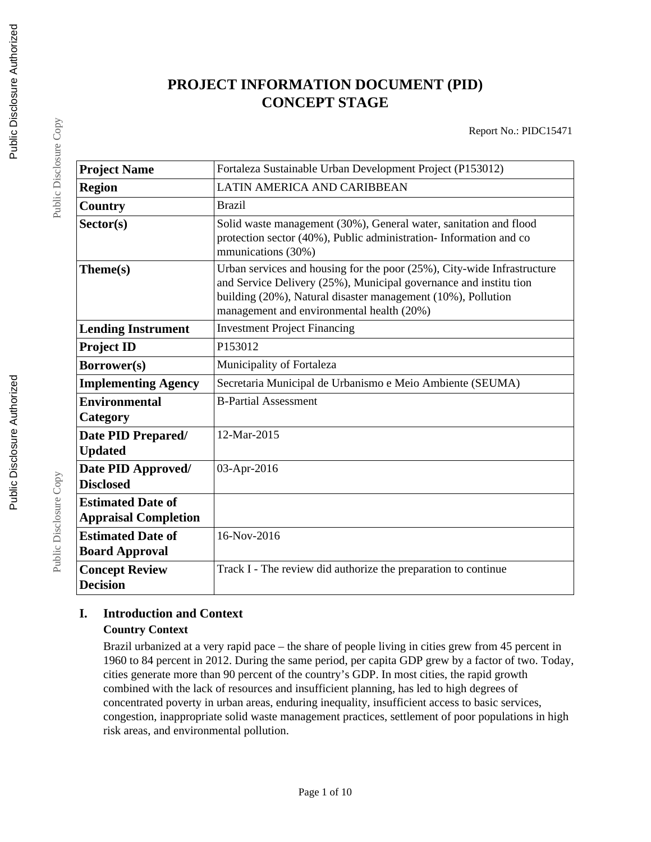# **PROJECT INFORMATION DOCUMENT (PID) CONCEPT STAGE**

Report No.: PIDC15471

| Fortaleza Sustainable Urban Development Project (P153012)                                                                                                                                                                                                |
|----------------------------------------------------------------------------------------------------------------------------------------------------------------------------------------------------------------------------------------------------------|
| LATIN AMERICA AND CARIBBEAN                                                                                                                                                                                                                              |
| <b>Brazil</b>                                                                                                                                                                                                                                            |
| Solid waste management (30%), General water, sanitation and flood<br>protection sector (40%), Public administration-Information and co<br>mmunications (30%)                                                                                             |
| Urban services and housing for the poor (25%), City-wide Infrastructure<br>and Service Delivery (25%), Municipal governance and institution<br>building (20%), Natural disaster management (10%), Pollution<br>management and environmental health (20%) |
| <b>Investment Project Financing</b>                                                                                                                                                                                                                      |
| P153012                                                                                                                                                                                                                                                  |
| Municipality of Fortaleza                                                                                                                                                                                                                                |
| Secretaria Municipal de Urbanismo e Meio Ambiente (SEUMA)                                                                                                                                                                                                |
| <b>B-Partial Assessment</b>                                                                                                                                                                                                                              |
| 12-Mar-2015                                                                                                                                                                                                                                              |
| 03-Apr-2016                                                                                                                                                                                                                                              |
|                                                                                                                                                                                                                                                          |
| 16-Nov-2016                                                                                                                                                                                                                                              |
| Track I - The review did authorize the preparation to continue                                                                                                                                                                                           |
|                                                                                                                                                                                                                                                          |

### **I. Introduction and Context Country Context**

Brazil urbanized at a very rapid pace – the share of people living in cities grew from 45 percent in 1960 to 84 percent in 2012. During the same period, per capita GDP grew by a factor of two. Today, cities generate more than 90 percent of the country's GDP. In most cities, the rapid growth combined with the lack of resources and insufficient planning, has led to high degrees of concentrated poverty in urban areas, enduring inequality, insufficient access to basic services, congestion, inappropriate solid waste management practices, settlement of poor populations in high risk areas, and environmental pollution.

Public Disclosure Copy

Public Disclosure Copy

Public Disclosure Copy

Public Disclosure Copy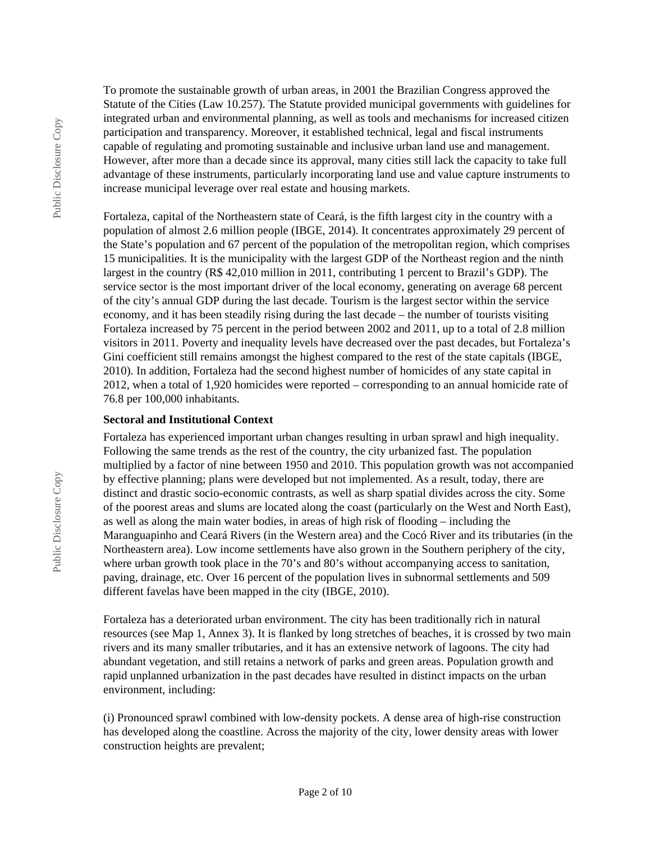To promote the sustainable growth of urban areas, in 2001 the Brazilian Congress approved the Statute of the Cities (Law 10.257). The Statute provided municipal governments with guidelines for integrated urban and environmental planning, as well as tools and mechanisms for increased citizen participation and transparency. Moreover, it established technical, legal and fiscal instruments capable of regulating and promoting sustainable and inclusive urban land use and management. However, after more than a decade since its approval, many cities still lack the capacity to take full advantage of these instruments, particularly incorporating land use and value capture instruments to increase municipal leverage over real estate and housing markets.

Fortaleza, capital of the Northeastern state of Ceará, is the fifth largest city in the country with a population of almost 2.6 million people (IBGE, 2014). It concentrates approximately 29 percent of the State's population and 67 percent of the population of the metropolitan region, which comprises 15 municipalities. It is the municipality with the largest GDP of the Northeast region and the ninth largest in the country (R\$ 42,010 million in 2011, contributing 1 percent to Brazil's GDP). The service sector is the most important driver of the local economy, generating on average 68 percent of the city's annual GDP during the last decade. Tourism is the largest sector within the service economy, and it has been steadily rising during the last decade – the number of tourists visiting Fortaleza increased by 75 percent in the period between 2002 and 2011, up to a total of 2.8 million visitors in 2011. Poverty and inequality levels have decreased over the past decades, but Fortaleza's Gini coefficient still remains amongst the highest compared to the rest of the state capitals (IBGE, 2010). In addition, Fortaleza had the second highest number of homicides of any state capital in 2012, when a total of 1,920 homicides were reported – corresponding to an annual homicide rate of 76.8 per 100,000 inhabitants.

#### **Sectoral and Institutional Context**

Fortaleza has experienced important urban changes resulting in urban sprawl and high inequality. Following the same trends as the rest of the country, the city urbanized fast. The population multiplied by a factor of nine between 1950 and 2010. This population growth was not accompanied by effective planning; plans were developed but not implemented. As a result, today, there are distinct and drastic socio-economic contrasts, as well as sharp spatial divides across the city. Some of the poorest areas and slums are located along the coast (particularly on the West and North East), as well as along the main water bodies, in areas of high risk of flooding – including the Maranguapinho and Ceará Rivers (in the Western area) and the Cocó River and its tributaries (in the Northeastern area). Low income settlements have also grown in the Southern periphery of the city, where urban growth took place in the 70's and 80's without accompanying access to sanitation, paving, drainage, etc. Over 16 percent of the population lives in subnormal settlements and 509 different favelas have been mapped in the city (IBGE, 2010).

Fortaleza has a deteriorated urban environment. The city has been traditionally rich in natural resources (see Map 1, Annex 3). It is flanked by long stretches of beaches, it is crossed by two main rivers and its many smaller tributaries, and it has an extensive network of lagoons. The city had abundant vegetation, and still retains a network of parks and green areas. Population growth and rapid unplanned urbanization in the past decades have resulted in distinct impacts on the urban environment, including:

(i) Pronounced sprawl combined with low-density pockets. A dense area of high-rise construction has developed along the coastline. Across the majority of the city, lower density areas with lower construction heights are prevalent;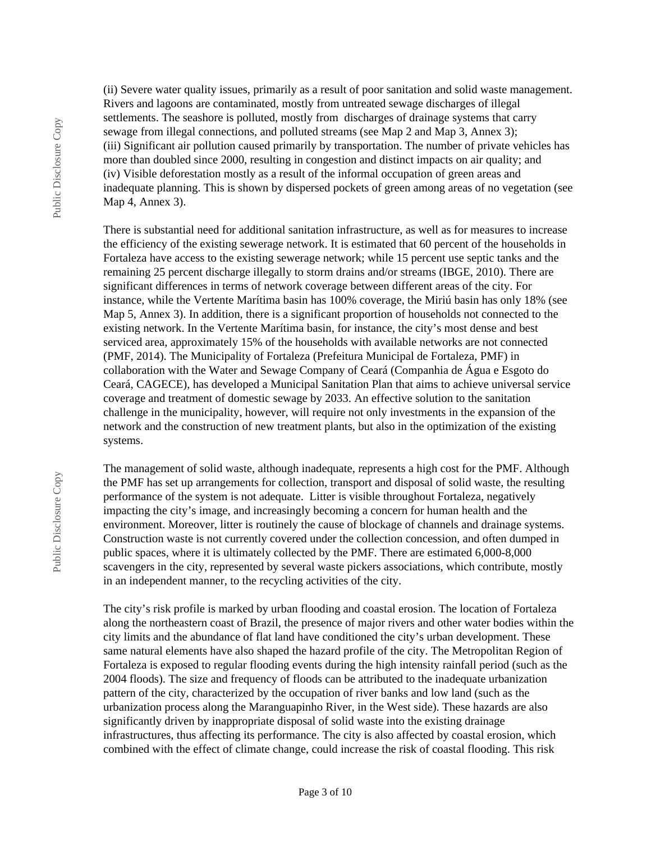(ii) Severe water quality issues, primarily as a result of poor sanitation and solid waste management. Rivers and lagoons are contaminated, mostly from untreated sewage discharges of illegal settlements. The seashore is polluted, mostly from discharges of drainage systems that carry sewage from illegal connections, and polluted streams (see Map 2 and Map 3, Annex 3); (iii) Significant air pollution caused primarily by transportation. The number of private vehicles has more than doubled since 2000, resulting in congestion and distinct impacts on air quality; and (iv) Visible deforestation mostly as a result of the informal occupation of green areas and inadequate planning. This is shown by dispersed pockets of green among areas of no vegetation (see Map 4, Annex 3).

There is substantial need for additional sanitation infrastructure, as well as for measures to increase the efficiency of the existing sewerage network. It is estimated that 60 percent of the households in Fortaleza have access to the existing sewerage network; while 15 percent use septic tanks and the remaining 25 percent discharge illegally to storm drains and/or streams (IBGE, 2010). There are significant differences in terms of network coverage between different areas of the city. For instance, while the Vertente Marítima basin has 100% coverage, the Miriú basin has only 18% (see Map 5, Annex 3). In addition, there is a significant proportion of households not connected to the existing network. In the Vertente Marítima basin, for instance, the city's most dense and best serviced area, approximately 15% of the households with available networks are not connected (PMF, 2014). The Municipality of Fortaleza (Prefeitura Municipal de Fortaleza, PMF) in collaboration with the Water and Sewage Company of Ceará (Companhia de Água e Esgoto do Ceará, CAGECE), has developed a Municipal Sanitation Plan that aims to achieve universal service coverage and treatment of domestic sewage by 2033. An effective solution to the sanitation challenge in the municipality, however, will require not only investments in the expansion of the network and the construction of new treatment plants, but also in the optimization of the existing systems.

The management of solid waste, although inadequate, represents a high cost for the PMF. Although the PMF has set up arrangements for collection, transport and disposal of solid waste, the resulting performance of the system is not adequate. Litter is visible throughout Fortaleza, negatively impacting the city's image, and increasingly becoming a concern for human health and the environment. Moreover, litter is routinely the cause of blockage of channels and drainage systems. Construction waste is not currently covered under the collection concession, and often dumped in public spaces, where it is ultimately collected by the PMF. There are estimated 6,000-8,000 scavengers in the city, represented by several waste pickers associations, which contribute, mostly in an independent manner, to the recycling activities of the city.

The city's risk profile is marked by urban flooding and coastal erosion. The location of Fortaleza along the northeastern coast of Brazil, the presence of major rivers and other water bodies within the city limits and the abundance of flat land have conditioned the city's urban development. These same natural elements have also shaped the hazard profile of the city. The Metropolitan Region of Fortaleza is exposed to regular flooding events during the high intensity rainfall period (such as the 2004 floods). The size and frequency of floods can be attributed to the inadequate urbanization pattern of the city, characterized by the occupation of river banks and low land (such as the urbanization process along the Maranguapinho River, in the West side). These hazards are also significantly driven by inappropriate disposal of solid waste into the existing drainage infrastructures, thus affecting its performance. The city is also affected by coastal erosion, which combined with the effect of climate change, could increase the risk of coastal flooding. This risk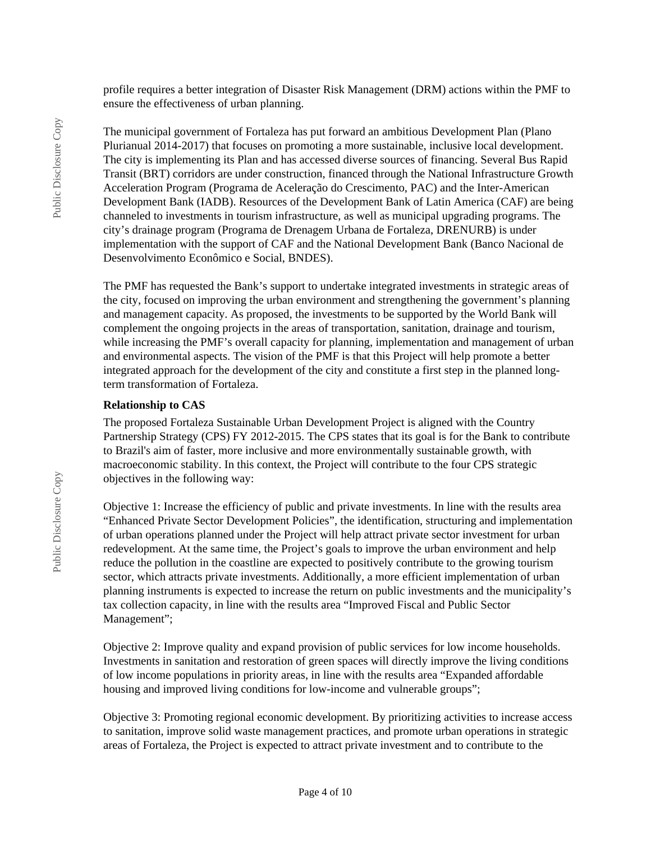profile requires a better integration of Disaster Risk Management (DRM) actions within the PMF to ensure the effectiveness of urban planning.

The municipal government of Fortaleza has put forward an ambitious Development Plan (Plano Plurianual 2014-2017) that focuses on promoting a more sustainable, inclusive local development. The city is implementing its Plan and has accessed diverse sources of financing. Several Bus Rapid Transit (BRT) corridors are under construction, financed through the National Infrastructure Growth Acceleration Program (Programa de Aceleração do Crescimento, PAC) and the Inter-American Development Bank (IADB). Resources of the Development Bank of Latin America (CAF) are being channeled to investments in tourism infrastructure, as well as municipal upgrading programs. The city's drainage program (Programa de Drenagem Urbana de Fortaleza, DRENURB) is under implementation with the support of CAF and the National Development Bank (Banco Nacional de Desenvolvimento Econômico e Social, BNDES).

The PMF has requested the Bank's support to undertake integrated investments in strategic areas of the city, focused on improving the urban environment and strengthening the government's planning and management capacity. As proposed, the investments to be supported by the World Bank will complement the ongoing projects in the areas of transportation, sanitation, drainage and tourism, while increasing the PMF's overall capacity for planning, implementation and management of urban and environmental aspects. The vision of the PMF is that this Project will help promote a better integrated approach for the development of the city and constitute a first step in the planned longterm transformation of Fortaleza.

#### **Relationship to CAS**

The proposed Fortaleza Sustainable Urban Development Project is aligned with the Country Partnership Strategy (CPS) FY 2012-2015. The CPS states that its goal is for the Bank to contribute to Brazil's aim of faster, more inclusive and more environmentally sustainable growth, with macroeconomic stability. In this context, the Project will contribute to the four CPS strategic objectives in the following way:

Objective 1: Increase the efficiency of public and private investments. In line with the results area "Enhanced Private Sector Development Policies", the identification, structuring and implementation of urban operations planned under the Project will help attract private sector investment for urban redevelopment. At the same time, the Project's goals to improve the urban environment and help reduce the pollution in the coastline are expected to positively contribute to the growing tourism sector, which attracts private investments. Additionally, a more efficient implementation of urban planning instruments is expected to increase the return on public investments and the municipality's tax collection capacity, in line with the results area "Improved Fiscal and Public Sector Management";

Objective 2: Improve quality and expand provision of public services for low income households. Investments in sanitation and restoration of green spaces will directly improve the living conditions of low income populations in priority areas, in line with the results area "Expanded affordable housing and improved living conditions for low-income and vulnerable groups";

Objective 3: Promoting regional economic development. By prioritizing activities to increase access to sanitation, improve solid waste management practices, and promote urban operations in strategic areas of Fortaleza, the Project is expected to attract private investment and to contribute to the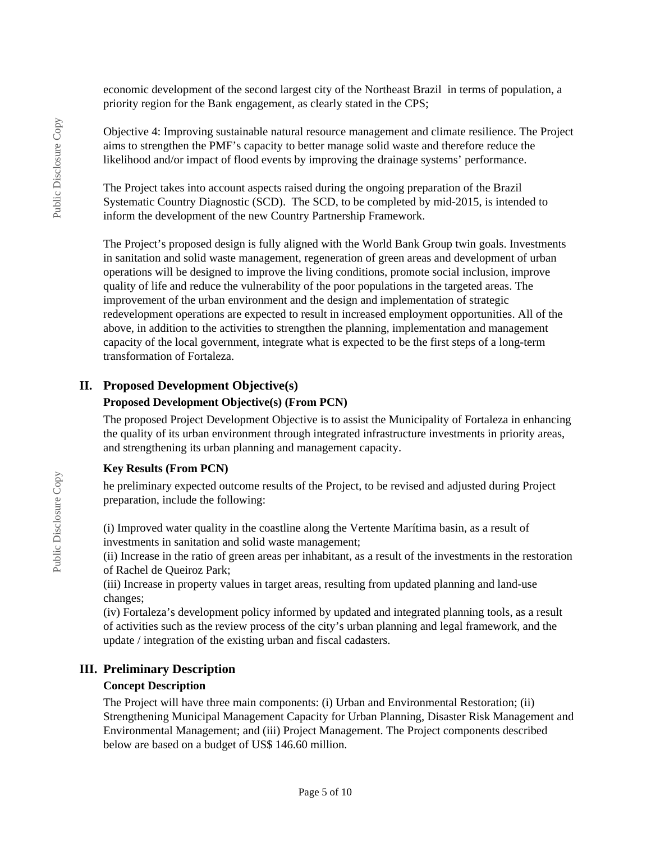economic development of the second largest city of the Northeast Brazil in terms of population, a priority region for the Bank engagement, as clearly stated in the CPS;

Objective 4: Improving sustainable natural resource management and climate resilience. The Project aims to strengthen the PMF's capacity to better manage solid waste and therefore reduce the likelihood and/or impact of flood events by improving the drainage systems' performance.

The Project takes into account aspects raised during the ongoing preparation of the Brazil Systematic Country Diagnostic (SCD). The SCD, to be completed by mid-2015, is intended to inform the development of the new Country Partnership Framework.

The Project's proposed design is fully aligned with the World Bank Group twin goals. Investments in sanitation and solid waste management, regeneration of green areas and development of urban operations will be designed to improve the living conditions, promote social inclusion, improve quality of life and reduce the vulnerability of the poor populations in the targeted areas. The improvement of the urban environment and the design and implementation of strategic redevelopment operations are expected to result in increased employment opportunities. All of the above, in addition to the activities to strengthen the planning, implementation and management capacity of the local government, integrate what is expected to be the first steps of a long-term transformation of Fortaleza.

### **II. Proposed Development Objective(s)**

#### **Proposed Development Objective(s) (From PCN)**

The proposed Project Development Objective is to assist the Municipality of Fortaleza in enhancing the quality of its urban environment through integrated infrastructure investments in priority areas, and strengthening its urban planning and management capacity.

#### **Key Results (From PCN)**

he preliminary expected outcome results of the Project, to be revised and adjusted during Project preparation, include the following:

(i) Improved water quality in the coastline along the Vertente Marítima basin, as a result of investments in sanitation and solid waste management;

(ii) Increase in the ratio of green areas per inhabitant, as a result of the investments in the restoration of Rachel de Queiroz Park;

(iii) Increase in property values in target areas, resulting from updated planning and land-use changes;

(iv) Fortaleza's development policy informed by updated and integrated planning tools, as a result of activities such as the review process of the city's urban planning and legal framework, and the update / integration of the existing urban and fiscal cadasters.

### **III. Preliminary Description**

### **Concept Description**

The Project will have three main components: (i) Urban and Environmental Restoration; (ii) Strengthening Municipal Management Capacity for Urban Planning, Disaster Risk Management and Environmental Management; and (iii) Project Management. The Project components described below are based on a budget of US\$ 146.60 million.

Public Disclosure Copy

Public Disclosure Copy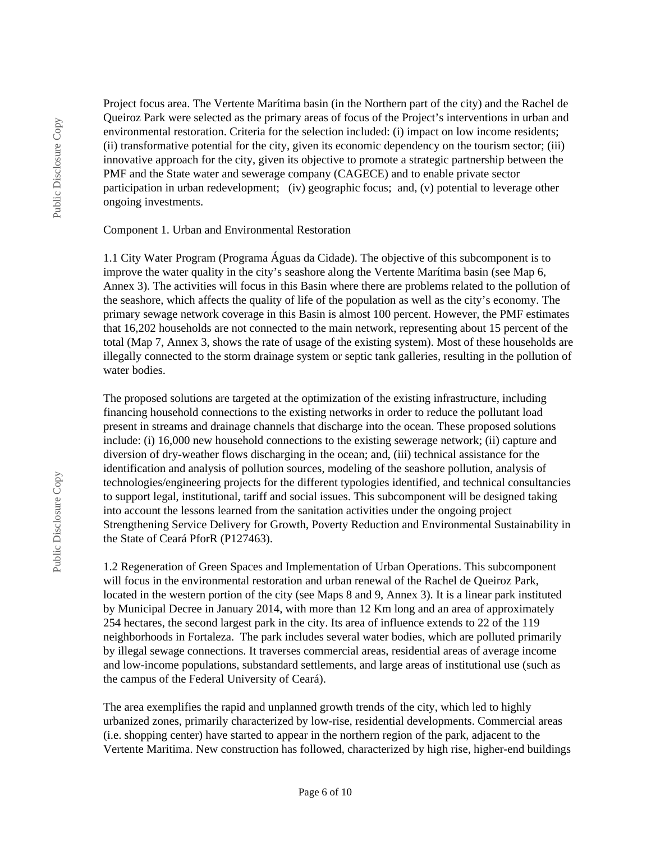Project focus area. The Vertente Marítima basin (in the Northern part of the city) and the Rachel de Queiroz Park were selected as the primary areas of focus of the Project's interventions in urban and environmental restoration. Criteria for the selection included: (i) impact on low income residents; (ii) transformative potential for the city, given its economic dependency on the tourism sector; (iii) innovative approach for the city, given its objective to promote a strategic partnership between the PMF and the State water and sewerage company (CAGECE) and to enable private sector participation in urban redevelopment; (iv) geographic focus; and, (v) potential to leverage other ongoing investments.

#### Component 1. Urban and Environmental Restoration

1.1 City Water Program (Programa Águas da Cidade). The objective of this subcomponent is to improve the water quality in the city's seashore along the Vertente Marítima basin (see Map 6, Annex 3). The activities will focus in this Basin where there are problems related to the pollution of the seashore, which affects the quality of life of the population as well as the city's economy. The primary sewage network coverage in this Basin is almost 100 percent. However, the PMF estimates that 16,202 households are not connected to the main network, representing about 15 percent of the total (Map 7, Annex 3, shows the rate of usage of the existing system). Most of these households are illegally connected to the storm drainage system or septic tank galleries, resulting in the pollution of water bodies.

The proposed solutions are targeted at the optimization of the existing infrastructure, including financing household connections to the existing networks in order to reduce the pollutant load present in streams and drainage channels that discharge into the ocean. These proposed solutions include: (i) 16,000 new household connections to the existing sewerage network; (ii) capture and diversion of dry-weather flows discharging in the ocean; and, (iii) technical assistance for the identification and analysis of pollution sources, modeling of the seashore pollution, analysis of technologies/engineering projects for the different typologies identified, and technical consultancies to support legal, institutional, tariff and social issues. This subcomponent will be designed taking into account the lessons learned from the sanitation activities under the ongoing project Strengthening Service Delivery for Growth, Poverty Reduction and Environmental Sustainability in the State of Ceará PforR (P127463).

1.2 Regeneration of Green Spaces and Implementation of Urban Operations. This subcomponent will focus in the environmental restoration and urban renewal of the Rachel de Queiroz Park, located in the western portion of the city (see Maps 8 and 9, Annex 3). It is a linear park instituted by Municipal Decree in January 2014, with more than 12 Km long and an area of approximately 254 hectares, the second largest park in the city. Its area of influence extends to 22 of the 119 neighborhoods in Fortaleza. The park includes several water bodies, which are polluted primarily by illegal sewage connections. It traverses commercial areas, residential areas of average income and low-income populations, substandard settlements, and large areas of institutional use (such as the campus of the Federal University of Ceará).

The area exemplifies the rapid and unplanned growth trends of the city, which led to highly urbanized zones, primarily characterized by low-rise, residential developments. Commercial areas (i.e. shopping center) have started to appear in the northern region of the park, adjacent to the Vertente Maritima. New construction has followed, characterized by high rise, higher-end buildings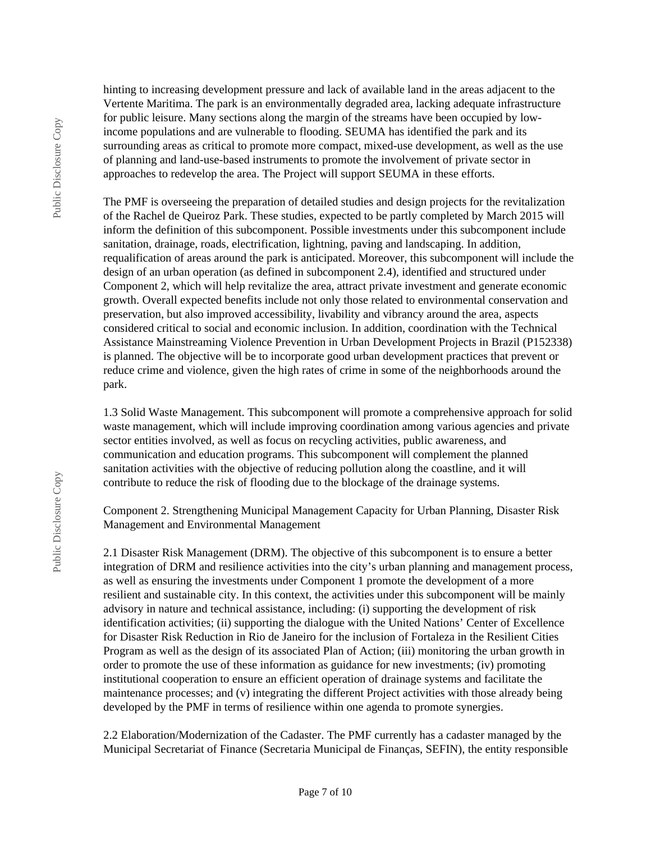Public Disclosure Copy Public Disclosure Copy hinting to increasing development pressure and lack of available land in the areas adjacent to the Vertente Maritima. The park is an environmentally degraded area, lacking adequate infrastructure for public leisure. Many sections along the margin of the streams have been occupied by lowincome populations and are vulnerable to flooding. SEUMA has identified the park and its surrounding areas as critical to promote more compact, mixed-use development, as well as the use of planning and land-use-based instruments to promote the involvement of private sector in approaches to redevelop the area. The Project will support SEUMA in these efforts.

The PMF is overseeing the preparation of detailed studies and design projects for the revitalization of the Rachel de Queiroz Park. These studies, expected to be partly completed by March 2015 will inform the definition of this subcomponent. Possible investments under this subcomponent include sanitation, drainage, roads, electrification, lightning, paving and landscaping. In addition, requalification of areas around the park is anticipated. Moreover, this subcomponent will include the design of an urban operation (as defined in subcomponent 2.4), identified and structured under Component 2, which will help revitalize the area, attract private investment and generate economic growth. Overall expected benefits include not only those related to environmental conservation and preservation, but also improved accessibility, livability and vibrancy around the area, aspects considered critical to social and economic inclusion. In addition, coordination with the Technical Assistance Mainstreaming Violence Prevention in Urban Development Projects in Brazil (P152338) is planned. The objective will be to incorporate good urban development practices that prevent or reduce crime and violence, given the high rates of crime in some of the neighborhoods around the park.

1.3 Solid Waste Management. This subcomponent will promote a comprehensive approach for solid waste management, which will include improving coordination among various agencies and private sector entities involved, as well as focus on recycling activities, public awareness, and communication and education programs. This subcomponent will complement the planned sanitation activities with the objective of reducing pollution along the coastline, and it will contribute to reduce the risk of flooding due to the blockage of the drainage systems.

Component 2. Strengthening Municipal Management Capacity for Urban Planning, Disaster Risk Management and Environmental Management

2.1 Disaster Risk Management (DRM). The objective of this subcomponent is to ensure a better integration of DRM and resilience activities into the city's urban planning and management process, as well as ensuring the investments under Component 1 promote the development of a more resilient and sustainable city. In this context, the activities under this subcomponent will be mainly advisory in nature and technical assistance, including: (i) supporting the development of risk identification activities; (ii) supporting the dialogue with the United Nations' Center of Excellence for Disaster Risk Reduction in Rio de Janeiro for the inclusion of Fortaleza in the Resilient Cities Program as well as the design of its associated Plan of Action; (iii) monitoring the urban growth in order to promote the use of these information as guidance for new investments; (iv) promoting institutional cooperation to ensure an efficient operation of drainage systems and facilitate the maintenance processes; and (v) integrating the different Project activities with those already being developed by the PMF in terms of resilience within one agenda to promote synergies.

2.2 Elaboration/Modernization of the Cadaster. The PMF currently has a cadaster managed by the Municipal Secretariat of Finance (Secretaria Municipal de Finanças, SEFIN), the entity responsible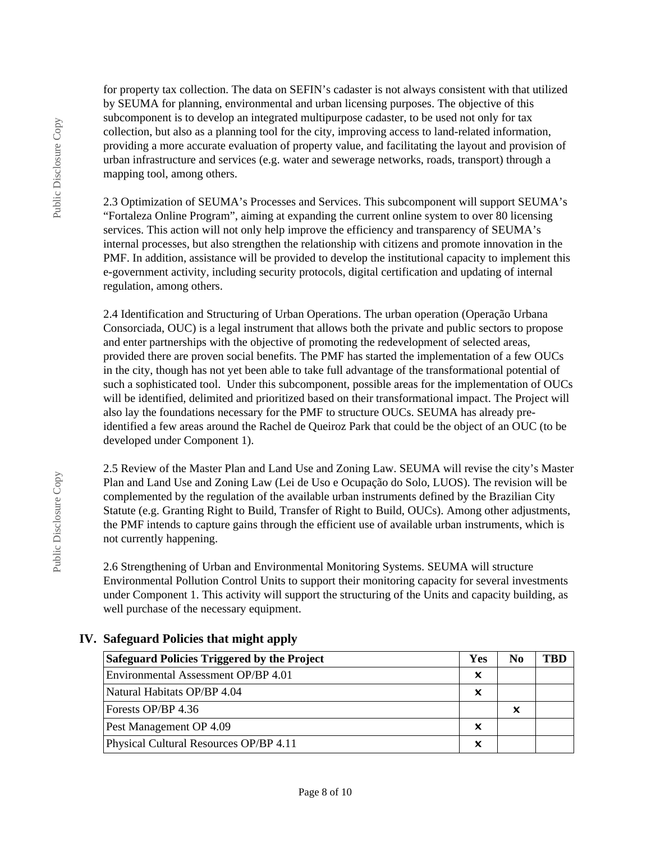for property tax collection. The data on SEFIN's cadaster is not always consistent with that utilized by SEUMA for planning, environmental and urban licensing purposes. The objective of this subcomponent is to develop an integrated multipurpose cadaster, to be used not only for tax collection, but also as a planning tool for the city, improving access to land-related information, providing a more accurate evaluation of property value, and facilitating the layout and provision of urban infrastructure and services (e.g. water and sewerage networks, roads, transport) through a mapping tool, among others.

2.3 Optimization of SEUMA's Processes and Services. This subcomponent will support SEUMA's "Fortaleza Online Program", aiming at expanding the current online system to over 80 licensing services. This action will not only help improve the efficiency and transparency of SEUMA's internal processes, but also strengthen the relationship with citizens and promote innovation in the PMF. In addition, assistance will be provided to develop the institutional capacity to implement this e-government activity, including security protocols, digital certification and updating of internal regulation, among others.

2.4 Identification and Structuring of Urban Operations. The urban operation (Operação Urbana Consorciada, OUC) is a legal instrument that allows both the private and public sectors to propose and enter partnerships with the objective of promoting the redevelopment of selected areas, provided there are proven social benefits. The PMF has started the implementation of a few OUCs in the city, though has not yet been able to take full advantage of the transformational potential of such a sophisticated tool. Under this subcomponent, possible areas for the implementation of OUCs will be identified, delimited and prioritized based on their transformational impact. The Project will also lay the foundations necessary for the PMF to structure OUCs. SEUMA has already preidentified a few areas around the Rachel de Queiroz Park that could be the object of an OUC (to be developed under Component 1).

2.5 Review of the Master Plan and Land Use and Zoning Law. SEUMA will revise the city's Master Plan and Land Use and Zoning Law (Lei de Uso e Ocupação do Solo, LUOS). The revision will be complemented by the regulation of the available urban instruments defined by the Brazilian City Statute (e.g. Granting Right to Build, Transfer of Right to Build, OUCs). Among other adjustments, the PMF intends to capture gains through the efficient use of available urban instruments, which is not currently happening.

2.6 Strengthening of Urban and Environmental Monitoring Systems. SEUMA will structure Environmental Pollution Control Units to support their monitoring capacity for several investments under Component 1. This activity will support the structuring of the Units and capacity building, as well purchase of the necessary equipment.

| <b>Safeguard Policies Triggered by the Project</b> | Yes | No | TBD |
|----------------------------------------------------|-----|----|-----|
| Environmental Assessment OP/BP 4.01                | x   |    |     |
| Natural Habitats OP/BP 4.04                        | ×   |    |     |
| Forests OP/BP 4.36                                 |     | ×  |     |
| Pest Management OP 4.09                            | x   |    |     |
| Physical Cultural Resources OP/BP 4.11             | x   |    |     |

### **IV. Safeguard Policies that might apply**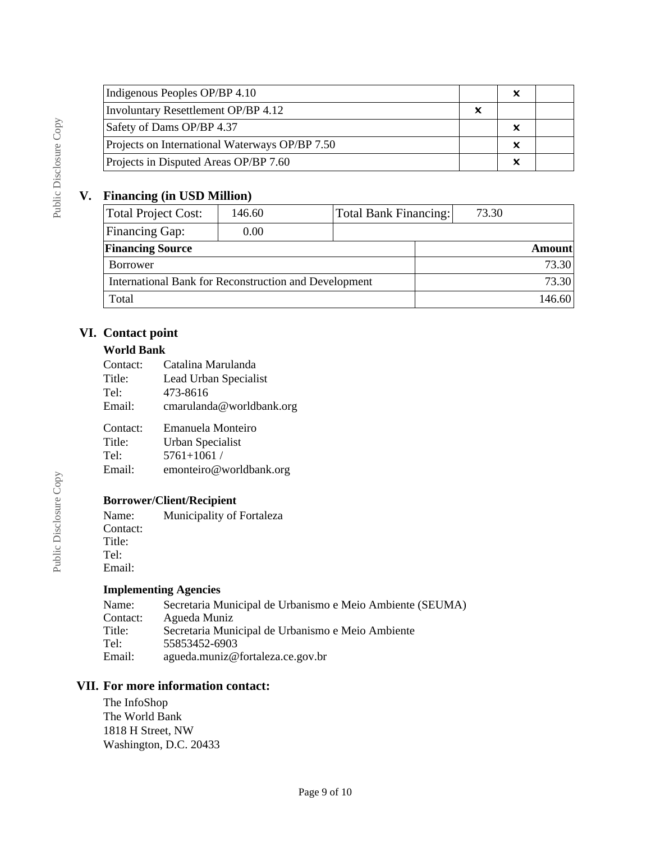| Indigenous Peoples OP/BP 4.10                  |   | x |
|------------------------------------------------|---|---|
| Involuntary Resettlement OP/BP 4.12            | x |   |
| Safety of Dams OP/BP 4.37                      |   | × |
| Projects on International Waterways OP/BP 7.50 |   | x |
| Projects in Disputed Areas OP/BP 7.60          |   | × |

# **V. Financing (in USD Million)**

| Total Project Cost:                                   | 146.60 |  | Total Bank Financing: | 73.30         |  |
|-------------------------------------------------------|--------|--|-----------------------|---------------|--|
| <b>Financing Gap:</b>                                 | 0.00   |  |                       |               |  |
| <b>Financing Source</b>                               |        |  |                       | <b>Amount</b> |  |
| <b>Borrower</b>                                       |        |  |                       | 73.30         |  |
| International Bank for Reconstruction and Development |        |  |                       | 73.30         |  |
| Total                                                 |        |  |                       | 146.60        |  |

# **VI. Contact point**

### **World Bank**

| Contact:           | Catalina Marulanda                    |
|--------------------|---------------------------------------|
| Title:             | Lead Urban Specialist                 |
| Tel:               | 473-8616                              |
| Email:             | cmarulanda@worldbank.org              |
| Contact:<br>Title: | Emanuela Monteiro<br>Urban Specialist |

Tel: 5761+1061 /

Email: emonteiro@worldbank.org

# **Borrower/Client/Recipient**

Name: Municipality of Fortaleza Contact: Title: Tel: Email:

### **Implementing Agencies**

| Name:    | Secretaria Municipal de Urbanismo e Meio Ambiente (SEUMA) |
|----------|-----------------------------------------------------------|
| Contact: | Agueda Muniz                                              |
| Title:   | Secretaria Municipal de Urbanismo e Meio Ambiente         |
| Tel:     | 55853452-6903                                             |
| Email:   | agueda.muniz@fortaleza.ce.gov.br                          |

# **VII. For more information contact:**

The InfoShop The World Bank 1818 H Street, NW Washington, D.C. 20433